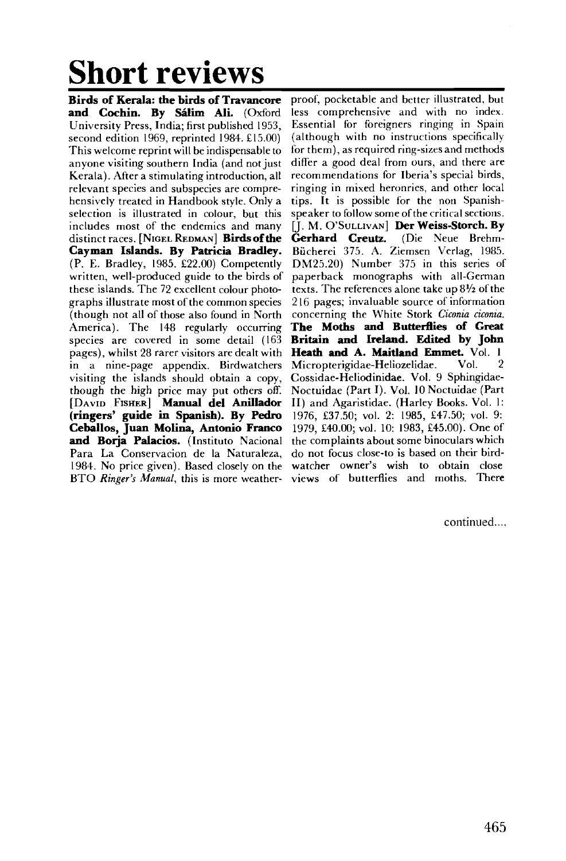## **Short reviews**

**Birds of Kerala: the birds of Travancore and Cochin. By Salim Ali.** (Oxford University Press, India; first published 1953, second edition 1969, reprinted 1984. £15.00) This welcome reprint will be indispensable to anyone visiting southern India (and not just Kerala). After a stimulating introduction, all relevant species and subspecies are comprehensively treated in Handbook style. Only a selection is illustrated in colour, but this includes most of the endemics and many distinct races. [NIGEL REDMAN] **Birds of the Cayman Islands. By Patricia Bradley.**  (P. E. Bradley, 1985. £22.00) Competently written, well-produced guide to the birds of these islands. The 72 excellent colour photographs illustrate most of the common species (though not all of those also found in North America). The 148 regularly occurring species are covered in some detail (163 pages), whilst 28 rarer visitors are dealt with in a nine-page appendix. Birdwatchers visiting the islands should obtain a copy, though the high price may put others off. [DAVID FISHER] **Manual del Anillador (ringers' guide in Spanish). By Pedro Ceballos, Juan Molina, Antonio Franco and Borja Palacios.** (Instituto Nacional Para La Conservacion de la Naturaleza, 1984. No price given). Based closely on the BTO *Ringer's Manual*, this is more weather-views of butterflies and moths. There

proof, pocketable and better illustrated, but less comprehensive and with no index. Essential for foreigners ringing in Spain (although with no instructions specifically for them), as required ring-sizes and methods differ a good deal from ours, and there are recommendations for Iberia's special birds, ringing in mixed heronries, and other local tips. It is possible for the non Spanishspeaker to follow some of the critical sections. Q. M. O'SULLIVAN] **Der Weiss-Storch. By Gerhard Creutz.** (Die Neue Brehm-Biicherei 375. A. Ziemsen Verlag, 1985. DM25.20) Number 375 in this series of paperback monographs with all-German texts. The references alone take up  $8\frac{1}{2}$  of the 216 pages; invaluable source of information concerning the White Stork *Ciconia ciconia.*  **The Moths and Butterflies of Great Britain and Ireland. Edited by John Heath and A. Maitland Emmet.** Vol. 1 Micropterigidae-Heliozelidae. Vol. 2 Cossidae-Heliodinidae. Vol. 9 Sphingidae-Noctuidae (Part I). Vol. 10 Noctuidae (Part II) and Agaristidae. (Harley Books. Vol. 1: 1976, £37.50; vol. 2: 1985, £47.50; vol. 9: 1979, £40.00; vol. 10: 1983, £45.00). One of the complaints about some binoculars which do not focus close-to is based on their birdwatcher owner's wish to obtain close

continued....